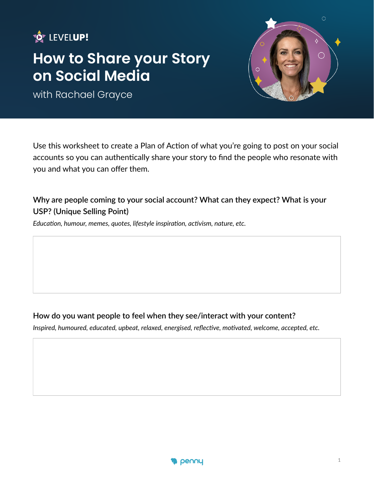# **HOW LEVELUP!**

# **How to Share your Story on Social Media**

with Rachael Grayce



Use this worksheet to create a Plan of Action of what you're going to post on your social accounts so you can authentically share your story to find the people who resonate with you and what you can offer them.

### **Why are people coming to your social account? What can they expect? What is your USP? (Unique Selling Point)**

*Education, humour, memes, quotes, lifestyle inspiration, activism, nature, etc.*

#### **How do you want people to feel when they see/interact with your content?**

*Inspired, humoured, educated, upbeat, relaxed, energised, reflective, motivated, welcome, accepted, etc.* 

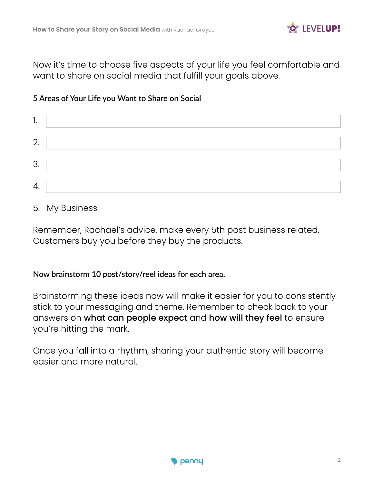

Now it's time to choose five aspects of your life you feel comfortable and want to share on social media that fulfill your goals above.

#### **5 Areas of Your Life you Want to Share on Social**

| ٠. |  |
|----|--|
| 2. |  |
| 3. |  |
| 4. |  |

#### 5. My Business

Remember, Rachael's advice, make every 5th post business related. Customers buy you before they buy the products.

#### **Now brainstorm 10 post/story/reel ideas for each area.**

Brainstorming these ideas now will make it easier for you to consistently stick to your messaging and theme. Remember to check back to your answers on what can people expect and how will they feel to ensure you're hitting the mark.

Once you fall into a rhythm, sharing your authentic story will become easier and more natural.

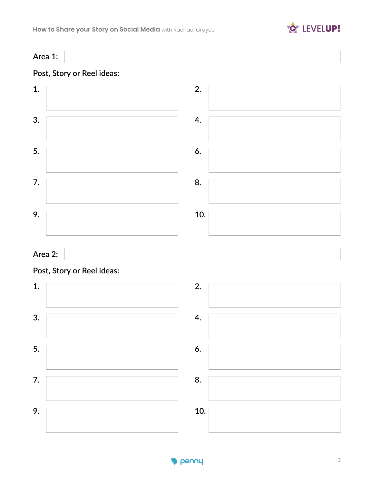

**Area 1:**

# **Post, Story or Reel ideas:**



### **Area 2:**

#### **Post, Story or Reel ideas:**



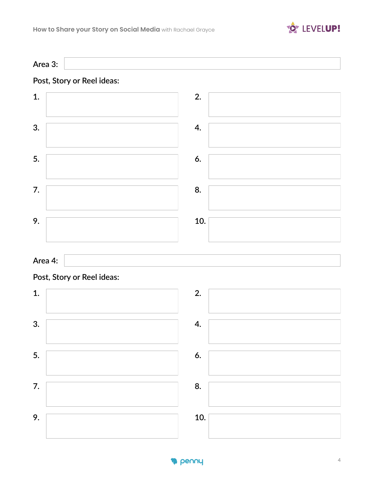

**Area 3:**

# **Post, Story or Reel ideas:**



#### **Area 4:**

# **Post, Story or Reel ideas:**